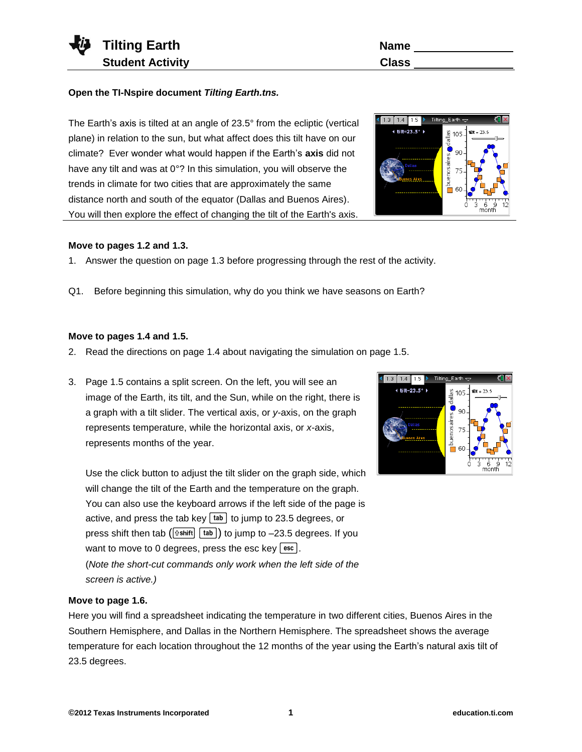

**Open the TI-Nspire document** *Tilting Earth.tns.*

The Earth's axis is tilted at an angle of 23.5° from the ecliptic (vertical plane) in relation to the sun, but what affect does this tilt have on our climate? Ever wonder what would happen if the Earth's **axis** did not have any tilt and was at 0°? In this simulation, you will observe the trends in climate for two cities that are approximately the same distance north and south of the equator (Dallas and Buenos Aires). You will then explore the effect of changing the tilt of the Earth's axis.

# **Move to pages 1.2 and 1.3.**

- 1. Answer the question on page 1.3 before progressing through the rest of the activity.
- Q1. Before beginning this simulation, why do you think we have seasons on Earth?

### **Move to pages 1.4 and 1.5.**

- 2. Read the directions on page 1.4 about navigating the simulation on page 1.5.
- 3. Page 1.5 contains a split screen. On the left, you will see an image of the Earth, its tilt, and the Sun, while on the right, there is a graph with a tilt slider. The vertical axis, or *y*-axis, on the graph represents temperature, while the horizontal axis, or *x*-axis, represents months of the year.

Use the click button to adjust the tilt slider on the graph side, which will change the tilt of the Earth and the temperature on the graph. You can also use the keyboard arrows if the left side of the page is active, and press the tab key  $\lceil \frac{t}{ab} \rceil$  to jump to 23.5 degrees, or press shift then tab  $(\exists s \text{shift} \mid \text{tab})$  to jump to -23.5 degrees. If you want to move to 0 degrees, press the esc key  $[$ esc]. (*Note the short-cut commands only work when the left side of the screen is active.)*

## **Move to page 1.6.**

Here you will find a spreadsheet indicating the temperature in two different cities, Buenos Aires in the Southern Hemisphere, and Dallas in the Northern Hemisphere. The spreadsheet shows the average temperature for each location throughout the 12 months of the year using the Earth's natural axis tilt of 23.5 degrees.

 $\frac{12}{9}$  105

Manusaires<br>
Manusaires<br>
S Cic

filt – 23.5

 $1.3$   $1.4$   $1.5$ 4 tilt=23.5° )



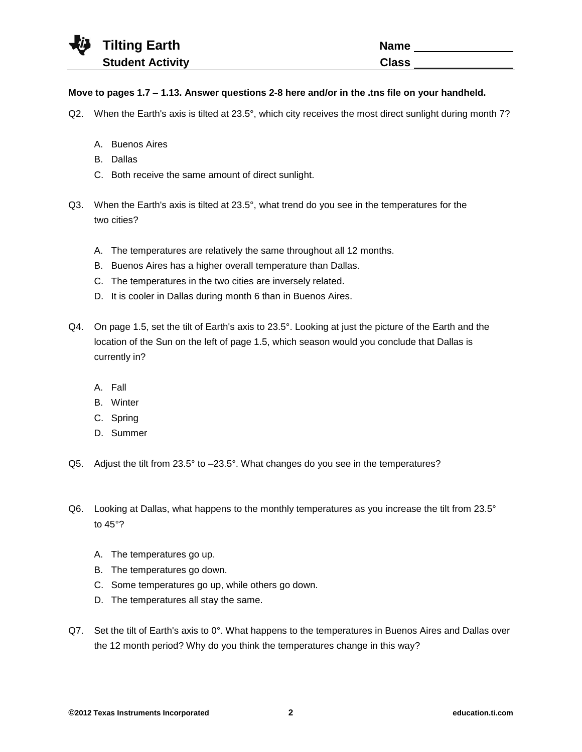| <b>Tilting Earth</b>    | <b>Name</b>  |
|-------------------------|--------------|
| <b>Student Activity</b> | <b>Class</b> |
|                         |              |

## **Move to pages 1.7 – 1.13. Answer questions 2-8 here and/or in the .tns file on your handheld.**

- Q2. When the Earth's axis is tilted at 23.5°, which city receives the most direct sunlight during month 7?
	- A. Buenos Aires
	- B. Dallas
	- C. Both receive the same amount of direct sunlight.
- Q3. When the Earth's axis is tilted at 23.5°, what trend do you see in the temperatures for the two cities?
	- A. The temperatures are relatively the same throughout all 12 months.
	- B. Buenos Aires has a higher overall temperature than Dallas.
	- C. The temperatures in the two cities are inversely related.
	- D. It is cooler in Dallas during month 6 than in Buenos Aires.
- Q4. On page 1.5, set the tilt of Earth's axis to 23.5°. Looking at just the picture of the Earth and the location of the Sun on the left of page 1.5, which season would you conclude that Dallas is currently in?
	- A. Fall
	- B. Winter
	- C. Spring
	- D. Summer
- Q5. Adjust the tilt from 23.5° to –23.5°. What changes do you see in the temperatures?
- Q6. Looking at Dallas, what happens to the monthly temperatures as you increase the tilt from 23.5° to 45°?
	- A. The temperatures go up.
	- B. The temperatures go down.
	- C. Some temperatures go up, while others go down.
	- D. The temperatures all stay the same.
- Q7. Set the tilt of Earth's axis to 0°. What happens to the temperatures in Buenos Aires and Dallas over the 12 month period? Why do you think the temperatures change in this way?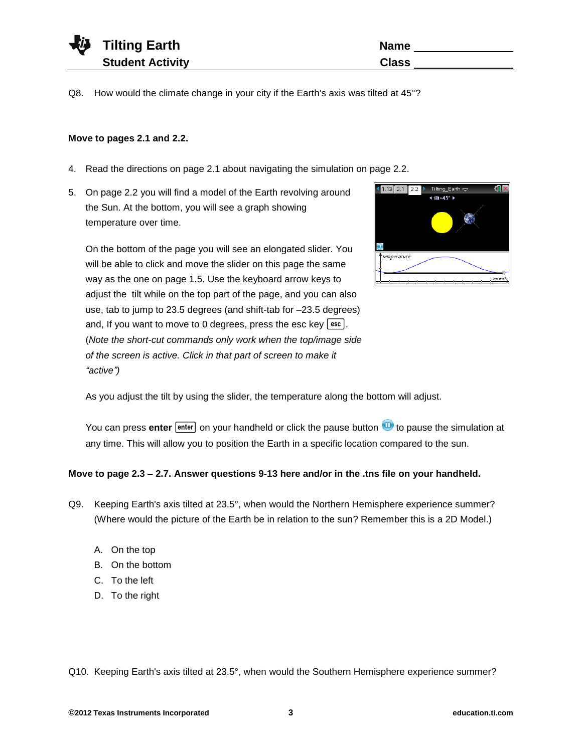| <b>ij</b> | <b>Tilting Earth</b>    | <b>Name</b>  |
|-----------|-------------------------|--------------|
|           | <b>Student Activity</b> | <b>Class</b> |

Q8. How would the climate change in your city if the Earth's axis was tilted at 45°?

## **Move to pages 2.1 and 2.2.**

₹

- 4. Read the directions on page 2.1 about navigating the simulation on page 2.2.
- 5. On page 2.2 you will find a model of the Earth revolving around the Sun. At the bottom, you will see a graph showing temperature over time.

On the bottom of the page you will see an elongated slider. You will be able to click and move the slider on this page the same way as the one on page 1.5. Use the keyboard arrow keys to adjust the tilt while on the top part of the page, and you can also use, tab to jump to 23.5 degrees (and shift-tab for –23.5 degrees) and, If you want to move to 0 degrees, press the esc key  $[$  esc  $]$ . (*Note the short-cut commands only work when the top/image side of the screen is active. Click in that part of screen to make it "active")*



As you adjust the tilt by using the slider, the temperature along the bottom will adjust.

You can press enter [enter] on your handheld or click the pause button **the pause the simulation at** any time. This will allow you to position the Earth in a specific location compared to the sun.

### **Move to page 2.3 – 2.7. Answer questions 9-13 here and/or in the .tns file on your handheld.**

- Q9. Keeping Earth's axis tilted at 23.5°, when would the Northern Hemisphere experience summer? (Where would the picture of the Earth be in relation to the sun? Remember this is a 2D Model.)
	- A. On the top
	- B. On the bottom
	- C. To the left
	- D. To the right

Q10. Keeping Earth's axis tilted at 23.5°, when would the Southern Hemisphere experience summer?